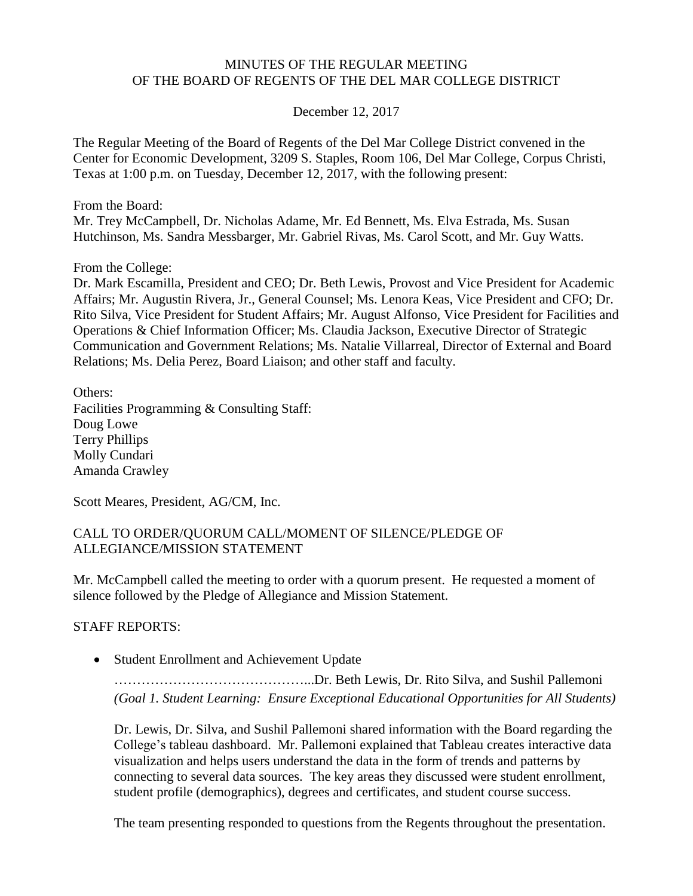#### MINUTES OF THE REGULAR MEETING OF THE BOARD OF REGENTS OF THE DEL MAR COLLEGE DISTRICT

December 12, 2017

The Regular Meeting of the Board of Regents of the Del Mar College District convened in the Center for Economic Development, 3209 S. Staples, Room 106, Del Mar College, Corpus Christi, Texas at 1:00 p.m. on Tuesday, December 12, 2017, with the following present:

From the Board:

Mr. Trey McCampbell, Dr. Nicholas Adame, Mr. Ed Bennett, Ms. Elva Estrada, Ms. Susan Hutchinson, Ms. Sandra Messbarger, Mr. Gabriel Rivas, Ms. Carol Scott, and Mr. Guy Watts.

From the College:

Dr. Mark Escamilla, President and CEO; Dr. Beth Lewis, Provost and Vice President for Academic Affairs; Mr. Augustin Rivera, Jr., General Counsel; Ms. Lenora Keas, Vice President and CFO; Dr. Rito Silva, Vice President for Student Affairs; Mr. August Alfonso, Vice President for Facilities and Operations & Chief Information Officer; Ms. Claudia Jackson, Executive Director of Strategic Communication and Government Relations; Ms. Natalie Villarreal, Director of External and Board Relations; Ms. Delia Perez, Board Liaison; and other staff and faculty.

Others: Facilities Programming & Consulting Staff: Doug Lowe Terry Phillips Molly Cundari Amanda Crawley

Scott Meares, President, AG/CM, Inc.

#### CALL TO ORDER/QUORUM CALL/MOMENT OF SILENCE/PLEDGE OF ALLEGIANCE/MISSION STATEMENT

Mr. McCampbell called the meeting to order with a quorum present. He requested a moment of silence followed by the Pledge of Allegiance and Mission Statement.

STAFF REPORTS:

Student Enrollment and Achievement Update

……………………………………...Dr. Beth Lewis, Dr. Rito Silva, and Sushil Pallemoni *(Goal 1. Student Learning: Ensure Exceptional Educational Opportunities for All Students)*

Dr. Lewis, Dr. Silva, and Sushil Pallemoni shared information with the Board regarding the College's tableau dashboard. Mr. Pallemoni explained that Tableau creates interactive data visualization and helps users understand the data in the form of trends and patterns by connecting to several data sources. The key areas they discussed were student enrollment, student profile (demographics), degrees and certificates, and student course success.

The team presenting responded to questions from the Regents throughout the presentation.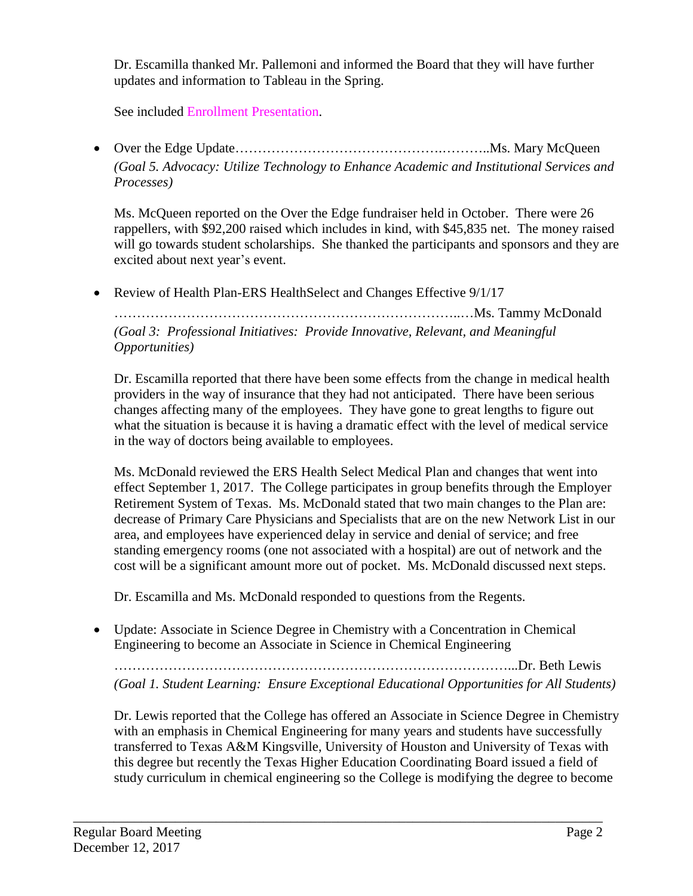Dr. Escamilla thanked Mr. Pallemoni and informed the Board that they will have further updates and information to Tableau in the Spring.

See included Enrollment [Presentation.](http://www.delmar.edu/WorkArea/DownloadAsset.aspx?id=2147486227)

● Over the Edge Update……………………………………………………………Ms. Mary McQueen *(Goal 5. Advocacy: Utilize Technology to Enhance Academic and Institutional Services and Processes)*

Ms. McQueen reported on the Over the Edge fundraiser held in October. There were 26 rappellers, with \$92,200 raised which includes in kind, with \$45,835 net. The money raised will go towards student scholarships. She thanked the participants and sponsors and they are excited about next year's event.

• Review of Health Plan-ERS HealthSelect and Changes Effective 9/1/17

…………………………………………………………………..…Ms. Tammy McDonald

*(Goal 3: Professional Initiatives: Provide Innovative, Relevant, and Meaningful Opportunities)*

Dr. Escamilla reported that there have been some effects from the change in medical health providers in the way of insurance that they had not anticipated. There have been serious changes affecting many of the employees. They have gone to great lengths to figure out what the situation is because it is having a dramatic effect with the level of medical service in the way of doctors being available to employees.

Ms. McDonald reviewed the ERS Health Select Medical Plan and changes that went into effect September 1, 2017. The College participates in group benefits through the Employer Retirement System of Texas. Ms. McDonald stated that two main changes to the Plan are: decrease of Primary Care Physicians and Specialists that are on the new Network List in our area, and employees have experienced delay in service and denial of service; and free standing emergency rooms (one not associated with a hospital) are out of network and the cost will be a significant amount more out of pocket. Ms. McDonald discussed next steps.

Dr. Escamilla and Ms. McDonald responded to questions from the Regents.

 Update: Associate in Science Degree in Chemistry with a Concentration in Chemical Engineering to become an Associate in Science in Chemical Engineering

\_\_\_\_\_\_\_\_\_\_\_\_\_\_\_\_\_\_\_\_\_\_\_\_\_\_\_\_\_\_\_\_\_\_\_\_\_\_\_\_\_\_\_\_\_\_\_\_\_\_\_\_\_\_\_\_\_\_\_\_\_\_\_\_\_\_\_\_\_\_\_\_\_\_\_\_\_\_

……………………………………………………………………………...Dr. Beth Lewis *(Goal 1. Student Learning: Ensure Exceptional Educational Opportunities for All Students)*

Dr. Lewis reported that the College has offered an Associate in Science Degree in Chemistry with an emphasis in Chemical Engineering for many years and students have successfully transferred to Texas A&M Kingsville, University of Houston and University of Texas with this degree but recently the Texas Higher Education Coordinating Board issued a field of study curriculum in chemical engineering so the College is modifying the degree to become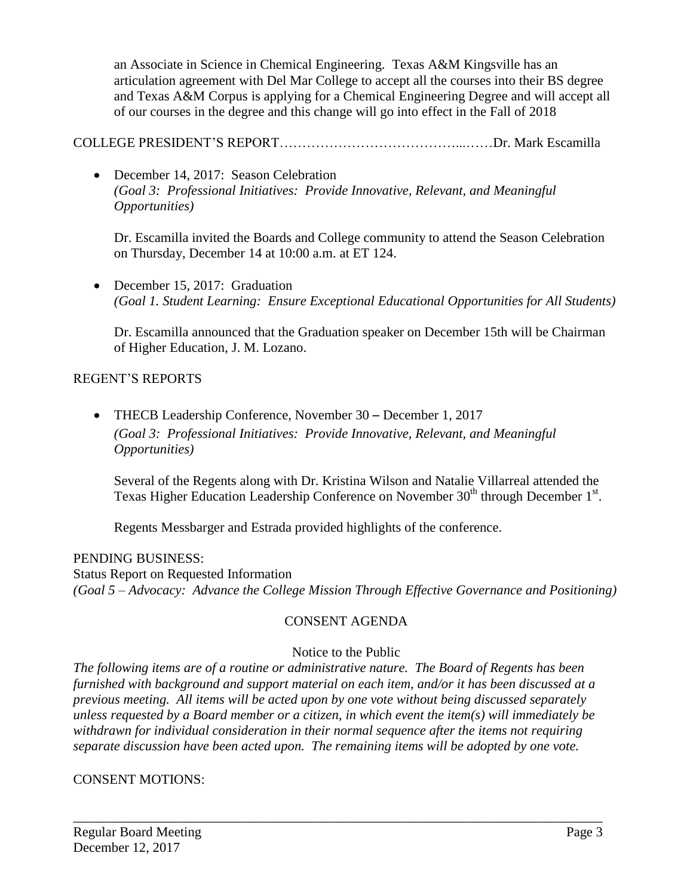an Associate in Science in Chemical Engineering. Texas A&M Kingsville has an articulation agreement with Del Mar College to accept all the courses into their BS degree and Texas A&M Corpus is applying for a Chemical Engineering Degree and will accept all of our courses in the degree and this change will go into effect in the Fall of 2018

COLLEGE PRESIDENT'S REPORT…………………………………...……Dr. Mark Escamilla

• December 14, 2017: Season Celebration *(Goal 3: Professional Initiatives: Provide Innovative, Relevant, and Meaningful Opportunities)*

Dr. Escamilla invited the Boards and College community to attend the Season Celebration on Thursday, December 14 at 10:00 a.m. at ET 124.

• December 15, 2017: Graduation *(Goal 1. Student Learning: Ensure Exceptional Educational Opportunities for All Students)*

Dr. Escamilla announced that the Graduation speaker on December 15th will be Chairman of Higher Education, J. M. Lozano.

## REGENT'S REPORTS

 THECB Leadership Conference, November 30 – December 1, 2017 *(Goal 3: Professional Initiatives: Provide Innovative, Relevant, and Meaningful Opportunities)*

Several of the Regents along with Dr. Kristina Wilson and Natalie Villarreal attended the Texas Higher Education Leadership Conference on November 30<sup>th</sup> through December 1<sup>st</sup>.

Regents Messbarger and Estrada provided highlights of the conference.

PENDING BUSINESS: Status Report on Requested Information *(Goal 5 – Advocacy: Advance the College Mission Through Effective Governance and Positioning)*

## CONSENT AGENDA

## Notice to the Public

*The following items are of a routine or administrative nature. The Board of Regents has been furnished with background and support material on each item, and/or it has been discussed at a previous meeting. All items will be acted upon by one vote without being discussed separately unless requested by a Board member or a citizen, in which event the item(s) will immediately be withdrawn for individual consideration in their normal sequence after the items not requiring separate discussion have been acted upon. The remaining items will be adopted by one vote.*

\_\_\_\_\_\_\_\_\_\_\_\_\_\_\_\_\_\_\_\_\_\_\_\_\_\_\_\_\_\_\_\_\_\_\_\_\_\_\_\_\_\_\_\_\_\_\_\_\_\_\_\_\_\_\_\_\_\_\_\_\_\_\_\_\_\_\_\_\_\_\_\_\_\_\_\_\_\_

## CONSENT MOTIONS: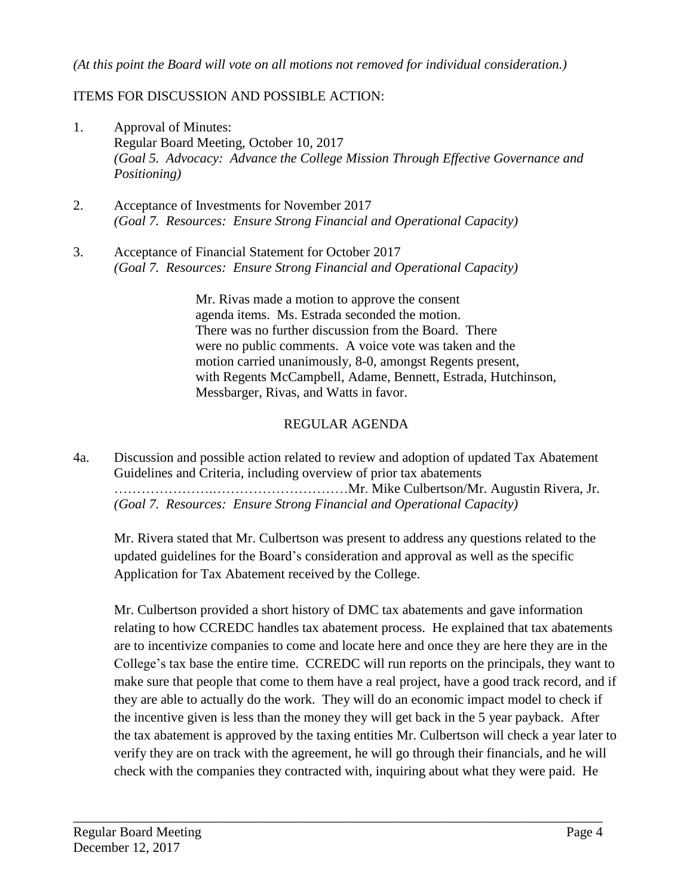#### *(At this point the Board will vote on all motions not removed for individual consideration.)*

## ITEMS FOR DISCUSSION AND POSSIBLE ACTION:

- 1. Approval of Minutes: Regular Board Meeting, October 10, 2017 *(Goal 5. Advocacy: Advance the College Mission Through Effective Governance and Positioning)*
- 2. Acceptance of Investments for November 2017 *(Goal 7. Resources: Ensure Strong Financial and Operational Capacity)*
- 3. Acceptance of Financial Statement for October 2017 *(Goal 7. Resources: Ensure Strong Financial and Operational Capacity)*

Mr. Rivas made a motion to approve the consent agenda items. Ms. Estrada seconded the motion. There was no further discussion from the Board. There were no public comments. A voice vote was taken and the motion carried unanimously, 8-0, amongst Regents present, with Regents McCampbell, Adame, Bennett, Estrada, Hutchinson, Messbarger, Rivas, and Watts in favor.

# REGULAR AGENDA

4a. Discussion and possible action related to review and adoption of updated Tax Abatement Guidelines and Criteria, including overview of prior tax abatements ………………….…………………………Mr. Mike Culbertson/Mr. Augustin Rivera, Jr. *(Goal 7. Resources: Ensure Strong Financial and Operational Capacity)*

Mr. Rivera stated that Mr. Culbertson was present to address any questions related to the updated guidelines for the Board's consideration and approval as well as the specific Application for Tax Abatement received by the College.

Mr. Culbertson provided a short history of DMC tax abatements and gave information relating to how CCREDC handles tax abatement process. He explained that tax abatements are to incentivize companies to come and locate here and once they are here they are in the College's tax base the entire time. CCREDC will run reports on the principals, they want to make sure that people that come to them have a real project, have a good track record, and if they are able to actually do the work. They will do an economic impact model to check if the incentive given is less than the money they will get back in the 5 year payback. After the tax abatement is approved by the taxing entities Mr. Culbertson will check a year later to verify they are on track with the agreement, he will go through their financials, and he will check with the companies they contracted with, inquiring about what they were paid. He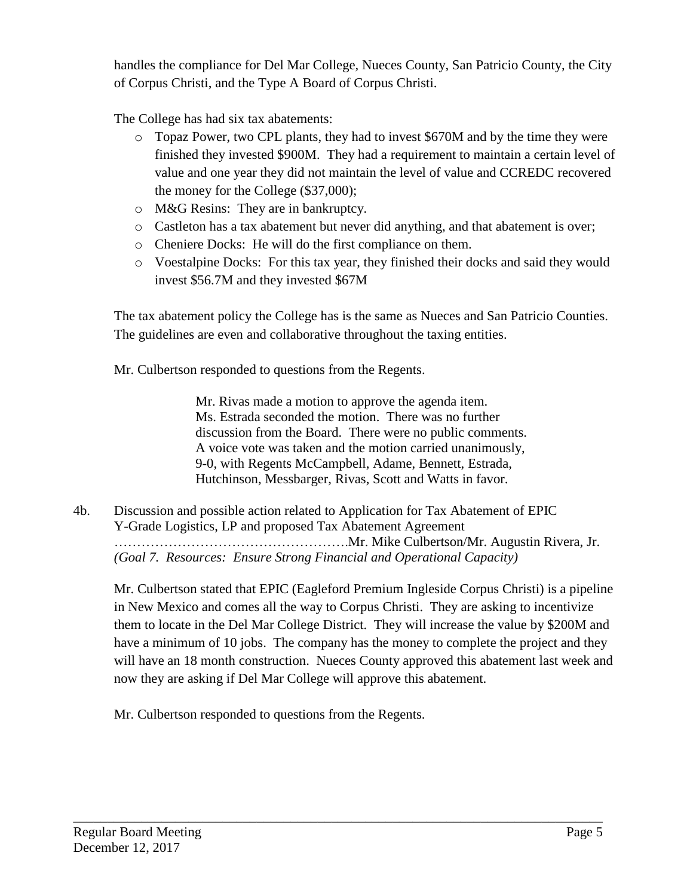handles the compliance for Del Mar College, Nueces County, San Patricio County, the City of Corpus Christi, and the Type A Board of Corpus Christi.

The College has had six tax abatements:

- o Topaz Power, two CPL plants, they had to invest \$670M and by the time they were finished they invested \$900M. They had a requirement to maintain a certain level of value and one year they did not maintain the level of value and CCREDC recovered the money for the College (\$37,000);
- o M&G Resins: They are in bankruptcy.
- o Castleton has a tax abatement but never did anything, and that abatement is over;
- o Cheniere Docks: He will do the first compliance on them.
- o Voestalpine Docks: For this tax year, they finished their docks and said they would invest \$56.7M and they invested \$67M

The tax abatement policy the College has is the same as Nueces and San Patricio Counties. The guidelines are even and collaborative throughout the taxing entities.

Mr. Culbertson responded to questions from the Regents.

Mr. Rivas made a motion to approve the agenda item. Ms. Estrada seconded the motion. There was no further discussion from the Board. There were no public comments. A voice vote was taken and the motion carried unanimously, 9-0, with Regents McCampbell, Adame, Bennett, Estrada, Hutchinson, Messbarger, Rivas, Scott and Watts in favor.

4b. Discussion and possible action related to Application for Tax Abatement of EPIC Y-Grade Logistics, LP and proposed Tax Abatement Agreement …………………………………………….Mr. Mike Culbertson/Mr. Augustin Rivera, Jr. *(Goal 7. Resources: Ensure Strong Financial and Operational Capacity)*

\_\_\_\_\_\_\_\_\_\_\_\_\_\_\_\_\_\_\_\_\_\_\_\_\_\_\_\_\_\_\_\_\_\_\_\_\_\_\_\_\_\_\_\_\_\_\_\_\_\_\_\_\_\_\_\_\_\_\_\_\_\_\_\_\_\_\_\_\_\_\_\_\_\_\_\_\_\_

Mr. Culbertson stated that EPIC (Eagleford Premium Ingleside Corpus Christi) is a pipeline in New Mexico and comes all the way to Corpus Christi. They are asking to incentivize them to locate in the Del Mar College District. They will increase the value by \$200M and have a minimum of 10 jobs. The company has the money to complete the project and they will have an 18 month construction. Nueces County approved this abatement last week and now they are asking if Del Mar College will approve this abatement.

Mr. Culbertson responded to questions from the Regents.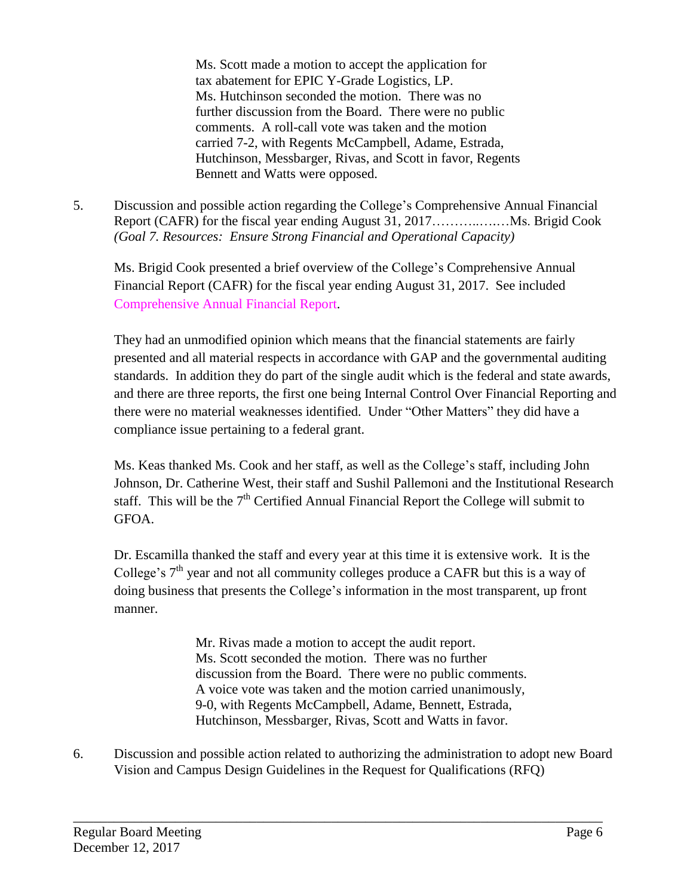Ms. Scott made a motion to accept the application for tax abatement for EPIC Y-Grade Logistics, LP. Ms. Hutchinson seconded the motion. There was no further discussion from the Board. There were no public comments. A roll-call vote was taken and the motion carried 7-2, with Regents McCampbell, Adame, Estrada, Hutchinson, Messbarger, Rivas, and Scott in favor, Regents Bennett and Watts were opposed.

5. Discussion and possible action regarding the College's Comprehensive Annual Financial Report (CAFR) for the fiscal year ending August 31, 2017………..….…Ms. Brigid Cook *(Goal 7. Resources: Ensure Strong Financial and Operational Capacity)*

Ms. Brigid Cook presented a brief overview of the College's Comprehensive Annual Financial Report (CAFR) for the fiscal year ending August 31, 2017. See included [Comprehensive](http://www.delmar.edu/WorkArea/DownloadAsset.aspx?id=2147486228) Annual Financial Report.

They had an unmodified opinion which means that the financial statements are fairly presented and all material respects in accordance with GAP and the governmental auditing standards. In addition they do part of the single audit which is the federal and state awards, and there are three reports, the first one being Internal Control Over Financial Reporting and there were no material weaknesses identified. Under "Other Matters" they did have a compliance issue pertaining to a federal grant.

Ms. Keas thanked Ms. Cook and her staff, as well as the College's staff, including John Johnson, Dr. Catherine West, their staff and Sushil Pallemoni and the Institutional Research staff. This will be the  $7<sup>th</sup>$  Certified Annual Financial Report the College will submit to GFOA.

Dr. Escamilla thanked the staff and every year at this time it is extensive work. It is the College's  $7<sup>th</sup>$  year and not all community colleges produce a CAFR but this is a way of doing business that presents the College's information in the most transparent, up front manner.

> Mr. Rivas made a motion to accept the audit report. Ms. Scott seconded the motion. There was no further discussion from the Board. There were no public comments. A voice vote was taken and the motion carried unanimously, 9-0, with Regents McCampbell, Adame, Bennett, Estrada, Hutchinson, Messbarger, Rivas, Scott and Watts in favor.

6. Discussion and possible action related to authorizing the administration to adopt new Board Vision and Campus Design Guidelines in the Request for Qualifications (RFQ)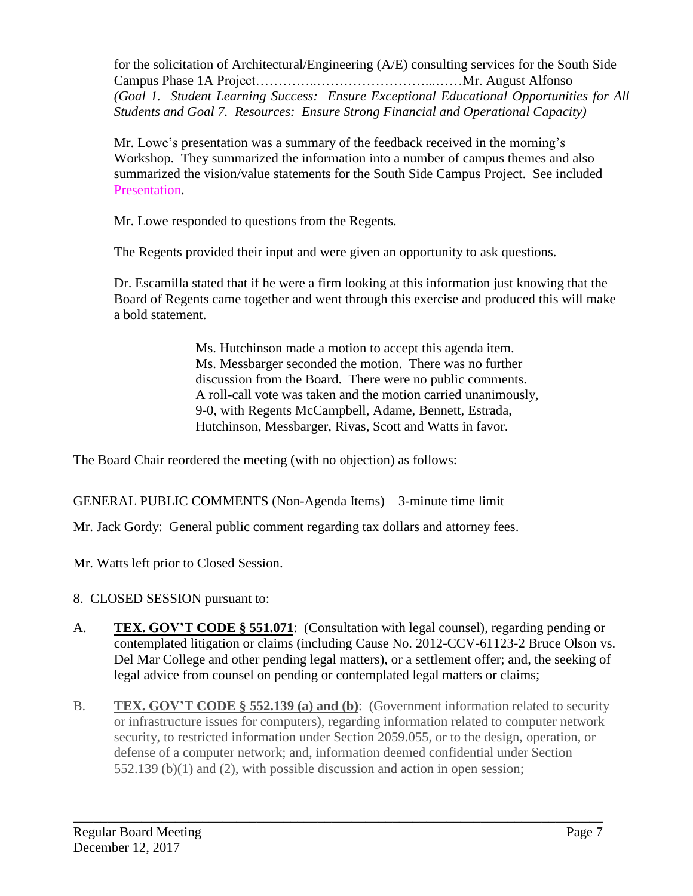for the solicitation of Architectural/Engineering (A/E) consulting services for the South Side Campus Phase 1A Project…………..……………………...……Mr. August Alfonso *(Goal 1. Student Learning Success: Ensure Exceptional Educational Opportunities for All Students and Goal 7. Resources: Ensure Strong Financial and Operational Capacity)*

Mr. Lowe's presentation was a summary of the feedback received in the morning's Workshop. They summarized the information into a number of campus themes and also summarized the vision/value statements for the South Side Campus Project. See included [Presentation.](http://www.delmar.edu/WorkArea/DownloadAsset.aspx?id=2147486225)

Mr. Lowe responded to questions from the Regents.

The Regents provided their input and were given an opportunity to ask questions.

Dr. Escamilla stated that if he were a firm looking at this information just knowing that the Board of Regents came together and went through this exercise and produced this will make a bold statement.

> Ms. Hutchinson made a motion to accept this agenda item. Ms. Messbarger seconded the motion. There was no further discussion from the Board. There were no public comments. A roll-call vote was taken and the motion carried unanimously, 9-0, with Regents McCampbell, Adame, Bennett, Estrada, Hutchinson, Messbarger, Rivas, Scott and Watts in favor.

The Board Chair reordered the meeting (with no objection) as follows:

GENERAL PUBLIC COMMENTS (Non-Agenda Items) – 3-minute time limit

Mr. Jack Gordy: General public comment regarding tax dollars and attorney fees.

Mr. Watts left prior to Closed Session.

- 8. CLOSED SESSION pursuant to:
- A. **TEX. GOV'T CODE § 551.071**: (Consultation with legal counsel), regarding pending or contemplated litigation or claims (including Cause No. 2012-CCV-61123-2 Bruce Olson vs. Del Mar College and other pending legal matters), or a settlement offer; and, the seeking of legal advice from counsel on pending or contemplated legal matters or claims;
- B. **TEX. GOV'T CODE § 552.139 (a) and (b)**: (Government information related to security or infrastructure issues for computers), regarding information related to computer network security, to restricted information under Section 2059.055, or to the design, operation, or defense of a computer network; and, information deemed confidential under Section 552.139 (b)(1) and (2), with possible discussion and action in open session;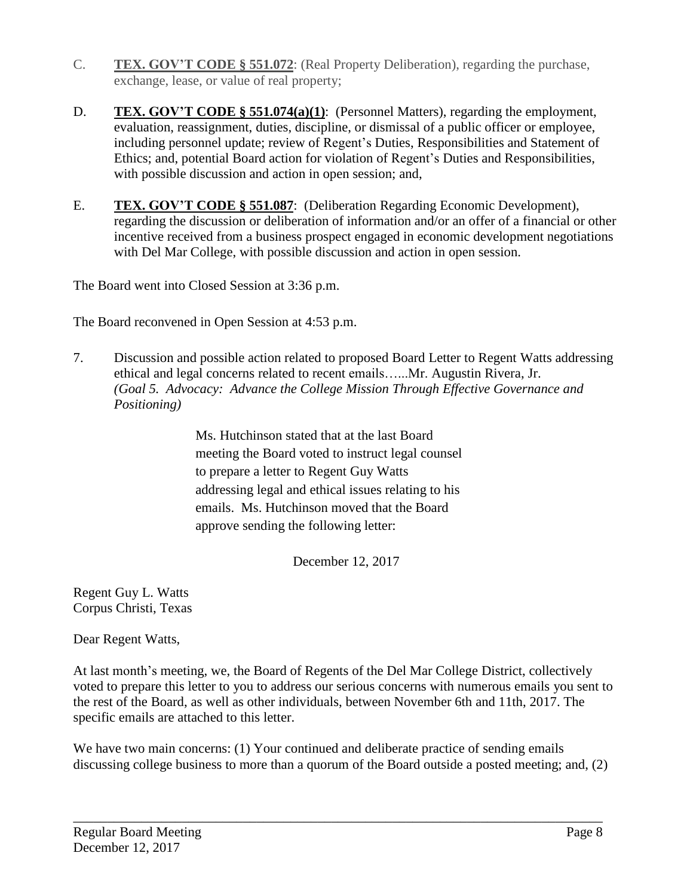- C. **TEX. GOV'T CODE § 551.072**: (Real Property Deliberation), regarding the purchase, exchange, lease, or value of real property;
- D. **TEX. GOV'T CODE § 551.074(a)(1)**: (Personnel Matters), regarding the employment, evaluation, reassignment, duties, discipline, or dismissal of a public officer or employee, including personnel update; review of Regent's Duties, Responsibilities and Statement of Ethics; and, potential Board action for violation of Regent's Duties and Responsibilities, with possible discussion and action in open session; and,
- E. **TEX. GOV'T CODE § 551.087**: (Deliberation Regarding Economic Development), regarding the discussion or deliberation of information and/or an offer of a financial or other incentive received from a business prospect engaged in economic development negotiations with Del Mar College, with possible discussion and action in open session.

The Board went into Closed Session at 3:36 p.m.

The Board reconvened in Open Session at 4:53 p.m.

7. Discussion and possible action related to proposed Board Letter to Regent Watts addressing ethical and legal concerns related to recent emails…...Mr. Augustin Rivera, Jr. *(Goal 5. Advocacy: Advance the College Mission Through Effective Governance and Positioning)*

> Ms. Hutchinson stated that at the last Board meeting the Board voted to instruct legal counsel to prepare a letter to Regent Guy Watts addressing legal and ethical issues relating to his emails. Ms. Hutchinson moved that the Board approve sending the following letter:

> > December 12, 2017

Regent Guy L. Watts Corpus Christi, Texas

Dear Regent Watts,

At last month's meeting, we, the Board of Regents of the Del Mar College District, collectively voted to prepare this letter to you to address our serious concerns with numerous emails you sent to the rest of the Board, as well as other individuals, between November 6th and 11th, 2017. The specific emails are attached to this letter.

We have two main concerns: (1) Your continued and deliberate practice of sending emails discussing college business to more than a quorum of the Board outside a posted meeting; and, (2)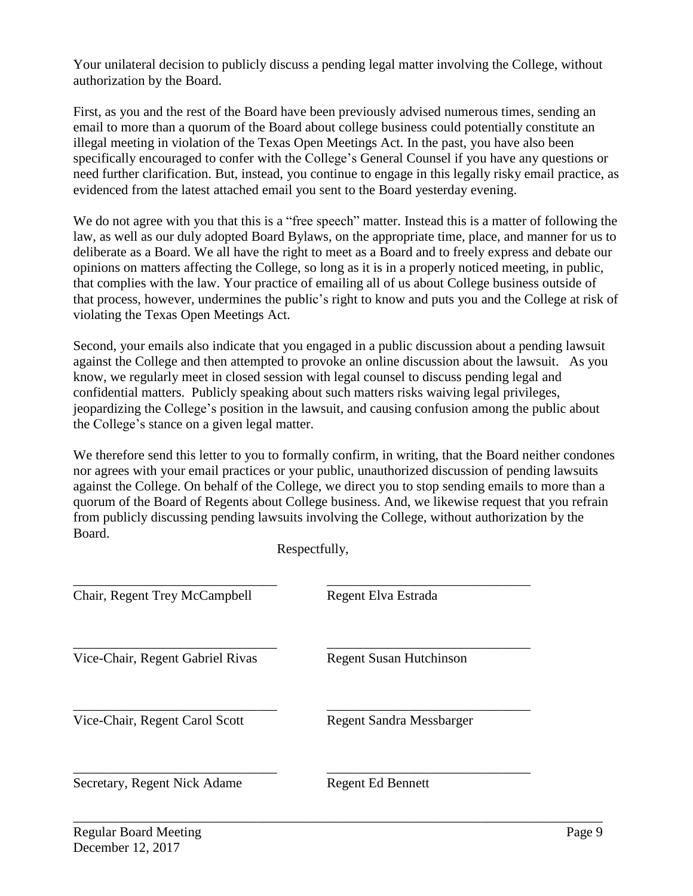Your unilateral decision to publicly discuss a pending legal matter involving the College, without authorization by the Board.

First, as you and the rest of the Board have been previously advised numerous times, sending an email to more than a quorum of the Board about college business could potentially constitute an illegal meeting in violation of the Texas Open Meetings Act. In the past, you have also been specifically encouraged to confer with the College's General Counsel if you have any questions or need further clarification. But, instead, you continue to engage in this legally risky email practice, as evidenced from the latest attached email you sent to the Board yesterday evening.

We do not agree with you that this is a "free speech" matter. Instead this is a matter of following the law, as well as our duly adopted Board Bylaws, on the appropriate time, place, and manner for us to deliberate as a Board. We all have the right to meet as a Board and to freely express and debate our opinions on matters affecting the College, so long as it is in a properly noticed meeting, in public, that complies with the law. Your practice of emailing all of us about College business outside of that process, however, undermines the public's right to know and puts you and the College at risk of violating the Texas Open Meetings Act.

Second, your emails also indicate that you engaged in a public discussion about a pending lawsuit against the College and then attempted to provoke an online discussion about the lawsuit. As you know, we regularly meet in closed session with legal counsel to discuss pending legal and confidential matters. Publicly speaking about such matters risks waiving legal privileges, jeopardizing the College's position in the lawsuit, and causing confusion among the public about the College's stance on a given legal matter.

We therefore send this letter to you to formally confirm, in writing, that the Board neither condones nor agrees with your email practices or your public, unauthorized discussion of pending lawsuits against the College. On behalf of the College, we direct you to stop sending emails to more than a quorum of the Board of Regents about College business. And, we likewise request that you refrain from publicly discussing pending lawsuits involving the College, without authorization by the Board.

| Chair, Regent Trey McCampbell    | Regent Elva Estrada             |
|----------------------------------|---------------------------------|
| Vice-Chair, Regent Gabriel Rivas | <b>Regent Susan Hutchinson</b>  |
| Vice-Chair, Regent Carol Scott   | <b>Regent Sandra Messbarger</b> |
| Secretary, Regent Nick Adame     | <b>Regent Ed Bennett</b>        |

Respectfully,